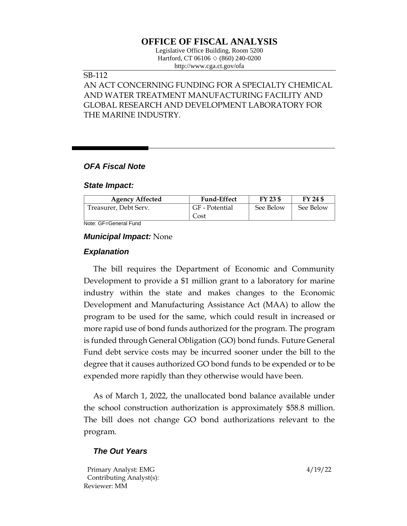# **OFFICE OF FISCAL ANALYSIS**

Legislative Office Building, Room 5200 Hartford, CT 06106  $\Diamond$  (860) 240-0200 http://www.cga.ct.gov/ofa

## SB-112

AN ACT CONCERNING FUNDING FOR A SPECIALTY CHEMICAL AND WATER TREATMENT MANUFACTURING FACILITY AND GLOBAL RESEARCH AND DEVELOPMENT LABORATORY FOR THE MARINE INDUSTRY.

## *OFA Fiscal Note*

#### *State Impact:*

| <b>Agency Affected</b> | <b>Fund-Effect</b>     | FY 23 \$  | FY 24 \$  |
|------------------------|------------------------|-----------|-----------|
| Treasurer, Debt Serv.  | GF - Potential<br>Cost | See Below | See Below |

Note: GF=General Fund

#### *Municipal Impact:* None

### *Explanation*

The bill requires the Department of Economic and Community Development to provide a \$1 million grant to a laboratory for marine industry within the state and makes changes to the Economic Development and Manufacturing Assistance Act (MAA) to allow the program to be used for the same, which could result in increased or more rapid use of bond funds authorized for the program. The program is funded through General Obligation (GO) bond funds. Future General Fund debt service costs may be incurred sooner under the bill to the degree that it causes authorized GO bond funds to be expended or to be expended more rapidly than they otherwise would have been.

As of March 1, 2022, the unallocated bond balance available under the school construction authorization is approximately \$58.8 million. The bill does not change GO bond authorizations relevant to the program.

## *The Out Years*

Primary Analyst: EMG 4/19/22 Contributing Analyst(s): Reviewer: MM